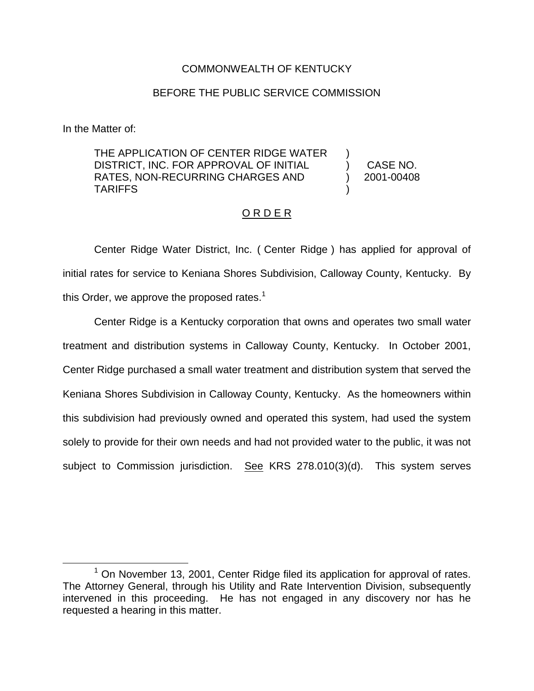### COMMONWEALTH OF KENTUCKY

#### BEFORE THE PUBLIC SERVICE COMMISSION

In the Matter of:

THE APPLICATION OF CENTER RIDGE WATER DISTRICT, INC. FOR APPROVAL OF INITIAL RATES, NON-RECURRING CHARGES AND TARIFFS

) CASE NO. ) 2001-00408

)

)

#### O R D E R

Center Ridge Water District, Inc. ( Center Ridge ) has applied for approval of initial rates for service to Keniana Shores Subdivision, Calloway County, Kentucky. By this Order, we approve the proposed rates.<sup>1</sup>

Center Ridge is a Kentucky corporation that owns and operates two small water treatment and distribution systems in Calloway County, Kentucky. In October 2001, Center Ridge purchased a small water treatment and distribution system that served the Keniana Shores Subdivision in Calloway County, Kentucky. As the homeowners within this subdivision had previously owned and operated this system, had used the system solely to provide for their own needs and had not provided water to the public, it was not subject to Commission jurisdiction. See KRS 278.010(3)(d). This system serves

 $1$  On November 13, 2001, Center Ridge filed its application for approval of rates. The Attorney General, through his Utility and Rate Intervention Division, subsequently intervened in this proceeding. He has not engaged in any discovery nor has he requested a hearing in this matter.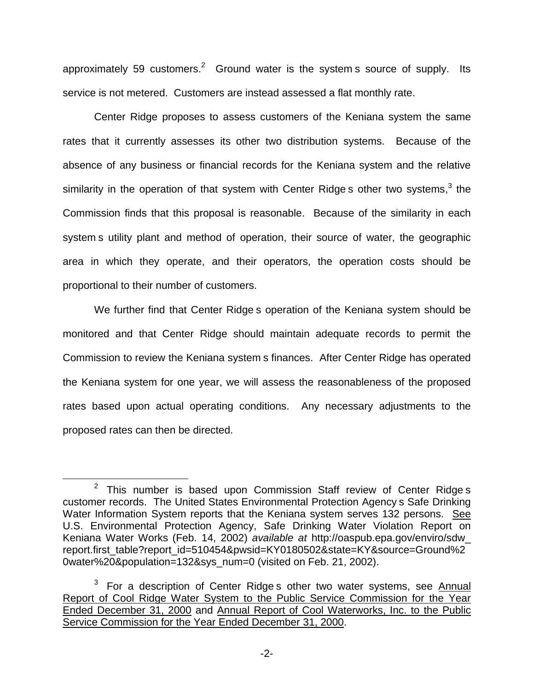approximately 59 customers.<sup>2</sup> Ground water is the system s source of supply. Its service is not metered. Customers are instead assessed a flat monthly rate.

Center Ridge proposes to assess customers of the Keniana system the same rates that it currently assesses its other two distribution systems. Because of the absence of any business or financial records for the Keniana system and the relative similarity in the operation of that system with Center Ridge s other two systems, $3$  the Commission finds that this proposal is reasonable. Because of the similarity in each system s utility plant and method of operation, their source of water, the geographic area in which they operate, and their operators, the operation costs should be proportional to their number of customers.

We further find that Center Ridge s operation of the Keniana system should be monitored and that Center Ridge should maintain adequate records to permit the Commission to review the Keniana system s finances. After Center Ridge has operated the Keniana system for one year, we will assess the reasonableness of the proposed rates based upon actual operating conditions. Any necessary adjustments to the proposed rates can then be directed.

 $2$  This number is based upon Commission Staff review of Center Ridges customer records. The United States Environmental Protection Agency s Safe Drinking Water Information System reports that the Keniana system serves 132 persons. See U.S. Environmental Protection Agency, Safe Drinking Water Violation Report on Keniana Water Works (Feb. 14, 2002) *available at* http://oaspub.epa.gov/enviro/sdw\_ report.first\_table?report\_id=510454&pwsid=KY0180502&state=KY&source=Ground%2 0water%20&population=132&sys\_num=0 (visited on Feb. 21, 2002).

 $3$  For a description of Center Ridge s other two water systems, see Annual Report of Cool Ridge Water System to the Public Service Commission for the Year Ended December 31, 2000 and Annual Report of Cool Waterworks, Inc. to the Public Service Commission for the Year Ended December 31, 2000.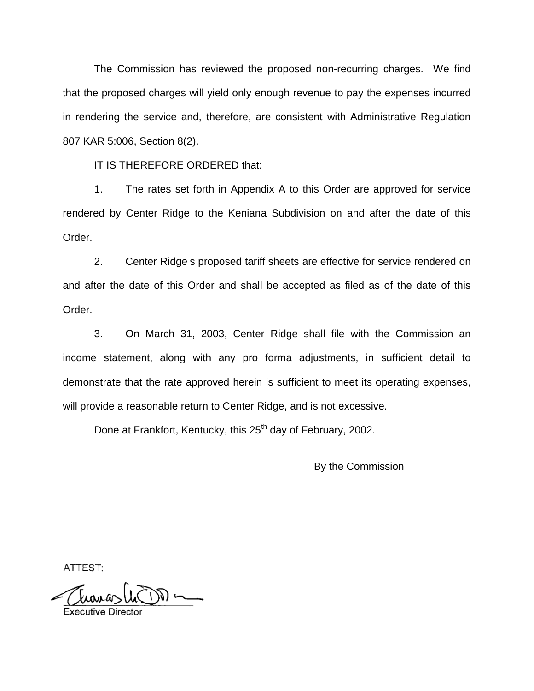The Commission has reviewed the proposed non-recurring charges. We find that the proposed charges will yield only enough revenue to pay the expenses incurred in rendering the service and, therefore, are consistent with Administrative Regulation 807 KAR 5:006, Section 8(2).

IT IS THEREFORE ORDERED that:

1. The rates set forth in Appendix A to this Order are approved for service rendered by Center Ridge to the Keniana Subdivision on and after the date of this Order.

2. Center Ridge s proposed tariff sheets are effective for service rendered on and after the date of this Order and shall be accepted as filed as of the date of this Order.

3. On March 31, 2003, Center Ridge shall file with the Commission an income statement, along with any pro forma adjustments, in sufficient detail to demonstrate that the rate approved herein is sufficient to meet its operating expenses, will provide a reasonable return to Center Ridge, and is not excessive.

Done at Frankfort, Kentucky, this 25<sup>th</sup> day of February, 2002.

By the Commission

ATTEST: